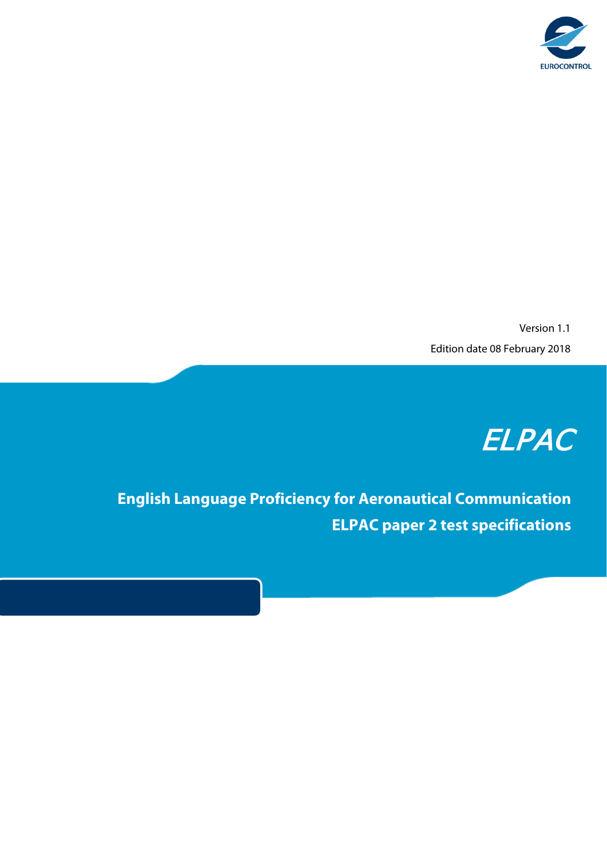

Version 1.1 Edition date 08 February 2018

## ELPAC

**English Language Proficiency for Aeronautical Communication ELPAC paper 2 test specifications**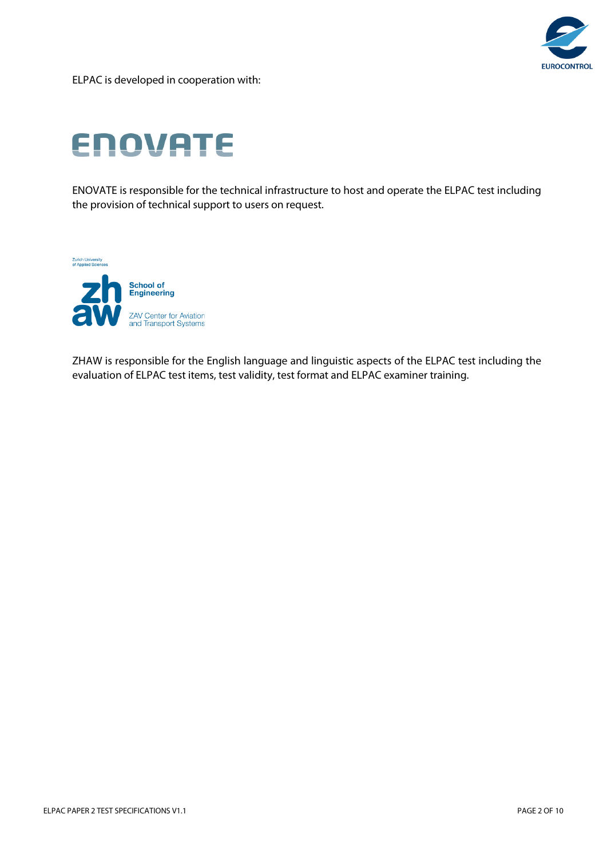

ELPAC is developed in cooperation with:

# **ENOVATE**

ENOVATE is responsible for the technical infrastructure to host and operate the ELPAC test including the provision of technical support to users on request.

**Zurich University<br>of Applied Sciences** 



ZHAW is responsible for the English language and linguistic aspects of the ELPAC test including the evaluation of ELPAC test items, test validity, test format and ELPAC examiner training.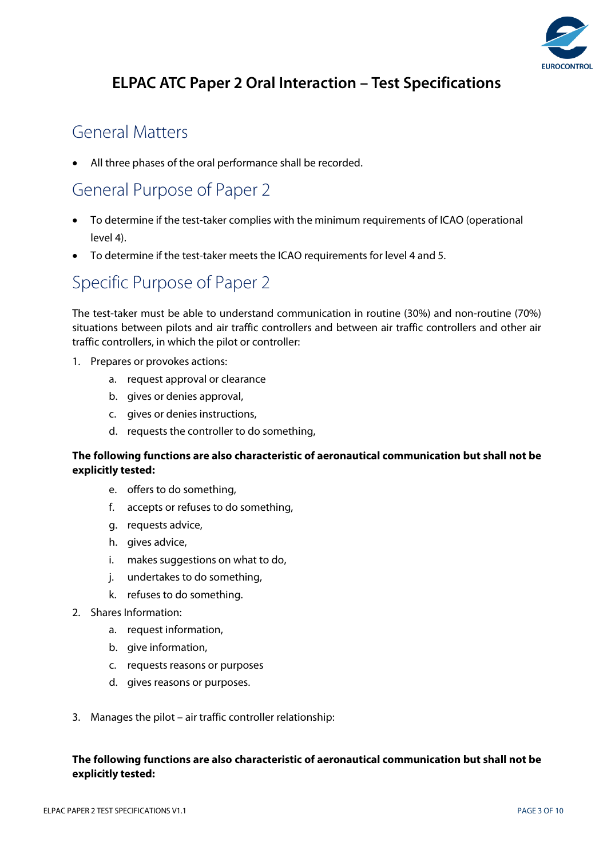

### **ELPAC ATC Paper 2 Oral Interaction – Test Specifications**

### General Matters

All three phases of the oral performance shall be recorded.

### General Purpose of Paper 2

- To determine if the test-taker complies with the minimum requirements of ICAO (operational level 4).
- To determine if the test-taker meets the ICAO requirements for level 4 and 5.

### Specific Purpose of Paper 2

The test-taker must be able to understand communication in routine (30%) and non-routine (70%) situations between pilots and air traffic controllers and between air traffic controllers and other air traffic controllers, in which the pilot or controller:

- 1. Prepares or provokes actions:
	- a. request approval or clearance
	- b. gives or denies approval,
	- c. gives or denies instructions,
	- d. requests the controller to do something,

#### **The following functions are also characteristic of aeronautical communication but shall not be explicitly tested:**

- e. offers to do something,
- f. accepts or refuses to do something,
- g. requests advice,
- h. gives advice,
- i. makes suggestions on what to do,
- j. undertakes to do something,
- k. refuses to do something.
- 2. Shares Information:
	- a. request information,
	- b. give information,
	- c. requests reasons or purposes
	- d. gives reasons or purposes.
- 3. Manages the pilot air traffic controller relationship:

#### **The following functions are also characteristic of aeronautical communication but shall not be explicitly tested:**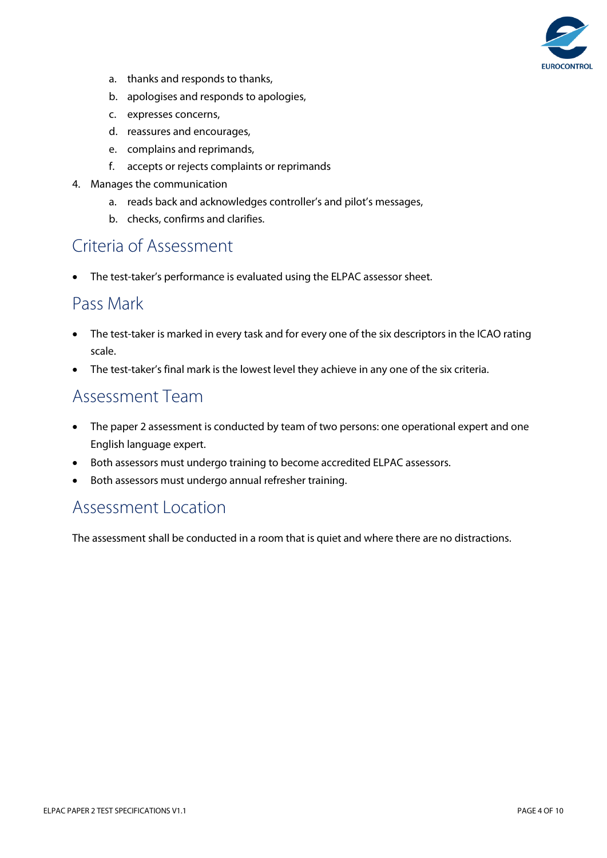

- a. thanks and responds to thanks,
- b. apologises and responds to apologies,
- c. expresses concerns,
- d. reassures and encourages,
- e. complains and reprimands,
- f. accepts or rejects complaints or reprimands
- 4. Manages the communication
	- a. reads back and acknowledges controller's and pilot's messages,
	- b. checks, confirms and clarifies.

### Criteria of Assessment

• The test-taker's performance is evaluated using the ELPAC assessor sheet.

### Pass Mark

- The test-taker is marked in every task and for every one of the six descriptors in the ICAO rating scale.
- The test-taker's final mark is the lowest level they achieve in any one of the six criteria.

### Assessment Team

- The paper 2 assessment is conducted by team of two persons: one operational expert and one English language expert.
- Both assessors must undergo training to become accredited ELPAC assessors.
- Both assessors must undergo annual refresher training.

### Assessment Location

The assessment shall be conducted in a room that is quiet and where there are no distractions.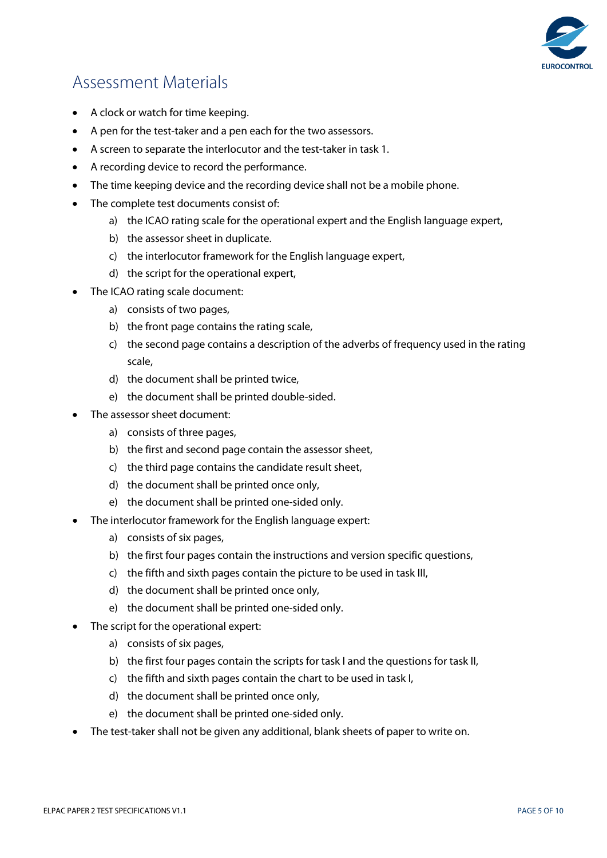

### Assessment Materials

- A clock or watch for time keeping.
- A pen for the test-taker and a pen each for the two assessors.
- A screen to separate the interlocutor and the test-taker in task 1.
- A recording device to record the performance.
- The time keeping device and the recording device shall not be a mobile phone.
- The complete test documents consist of:
	- a) the ICAO rating scale for the operational expert and the English language expert,
	- b) the assessor sheet in duplicate.
	- c) the interlocutor framework for the English language expert,
	- d) the script for the operational expert,
- The ICAO rating scale document:
	- a) consists of two pages,
	- b) the front page contains the rating scale,
	- c) the second page contains a description of the adverbs of frequency used in the rating scale,
	- d) the document shall be printed twice,
	- e) the document shall be printed double-sided.
- The assessor sheet document:
	- a) consists of three pages,
	- b) the first and second page contain the assessor sheet,
	- c) the third page contains the candidate result sheet,
	- d) the document shall be printed once only,
	- e) the document shall be printed one-sided only.
- The interlocutor framework for the English language expert:
	- a) consists of six pages,
	- b) the first four pages contain the instructions and version specific questions,
	- c) the fifth and sixth pages contain the picture to be used in task III,
	- d) the document shall be printed once only,
	- e) the document shall be printed one-sided only.
- The script for the operational expert:
	- a) consists of six pages,
	- b) the first four pages contain the scripts for task I and the questions for task II,
	- c) the fifth and sixth pages contain the chart to be used in task I,
	- d) the document shall be printed once only,
	- e) the document shall be printed one-sided only.
- The test-taker shall not be given any additional, blank sheets of paper to write on.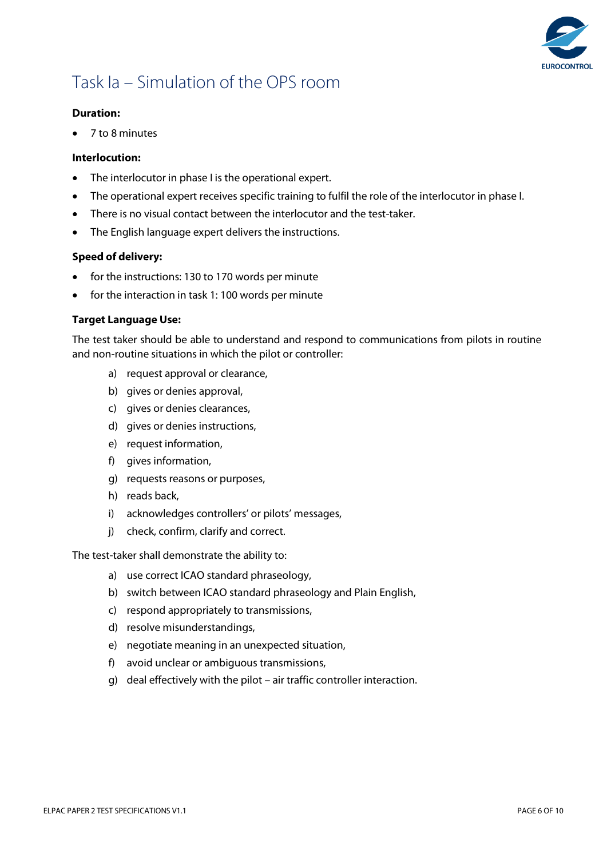

### Task Ia – Simulation of the OPS room

#### **Duration:**

• 7 to 8 minutes

#### **Interlocution:**

- The interlocutor in phase I is the operational expert.
- The operational expert receives specific training to fulfil the role of the interlocutor in phase I.
- There is no visual contact between the interlocutor and the test-taker.
- The English language expert delivers the instructions.

#### **Speed of delivery:**

- for the instructions: 130 to 170 words per minute
- for the interaction in task 1: 100 words per minute

#### **Target Language Use:**

The test taker should be able to understand and respond to communications from pilots in routine and non-routine situations in which the pilot or controller:

- a) request approval or clearance,
- b) gives or denies approval,
- c) gives or denies clearances,
- d) gives or denies instructions,
- e) request information,
- f) gives information,
- g) requests reasons or purposes,
- h) reads back,
- i) acknowledges controllers' or pilots' messages,
- j) check, confirm, clarify and correct.

The test-taker shall demonstrate the ability to:

- a) use correct ICAO standard phraseology,
- b) switch between ICAO standard phraseology and Plain English,
- c) respond appropriately to transmissions,
- d) resolve misunderstandings,
- e) negotiate meaning in an unexpected situation,
- f) avoid unclear or ambiguous transmissions,
- g) deal effectively with the pilot air traffic controller interaction.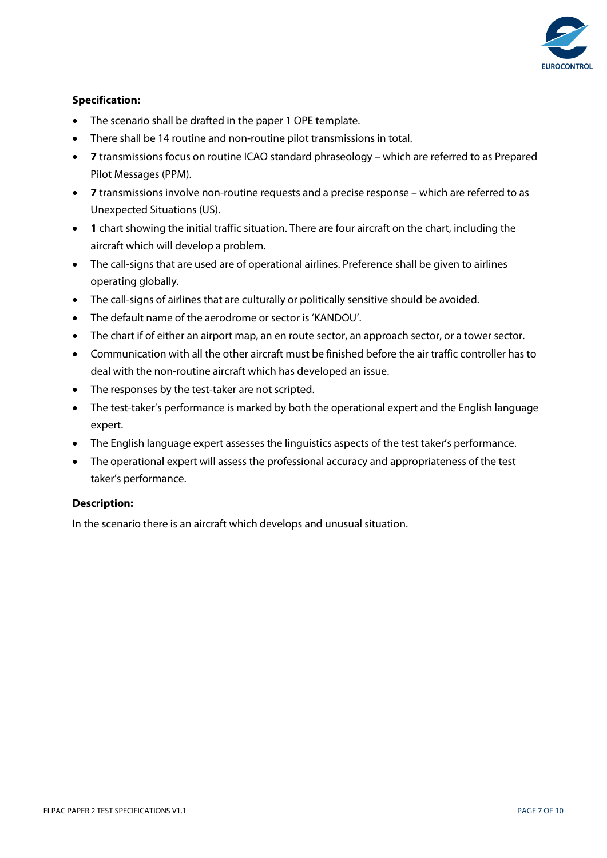

#### **Specification:**

- The scenario shall be drafted in the paper 1 OPE template.
- There shall be 14 routine and non-routine pilot transmissions in total.
- **7** transmissions focus on routine ICAO standard phraseology which are referred to as Prepared Pilot Messages (PPM).
- **7** transmissions involve non-routine requests and a precise response which are referred to as Unexpected Situations (US).
- **1** chart showing the initial traffic situation. There are four aircraft on the chart, including the aircraft which will develop a problem.
- The call-signs that are used are of operational airlines. Preference shall be given to airlines operating globally.
- The call-signs of airlines that are culturally or politically sensitive should be avoided.
- The default name of the aerodrome or sector is 'KANDOU'.
- The chart if of either an airport map, an en route sector, an approach sector, or a tower sector.
- Communication with all the other aircraft must be finished before the air traffic controller has to deal with the non-routine aircraft which has developed an issue.
- The responses by the test-taker are not scripted.
- The test-taker's performance is marked by both the operational expert and the English language expert.
- The English language expert assesses the linguistics aspects of the test taker's performance.
- The operational expert will assess the professional accuracy and appropriateness of the test taker's performance.

#### **Description:**

In the scenario there is an aircraft which develops and unusual situation.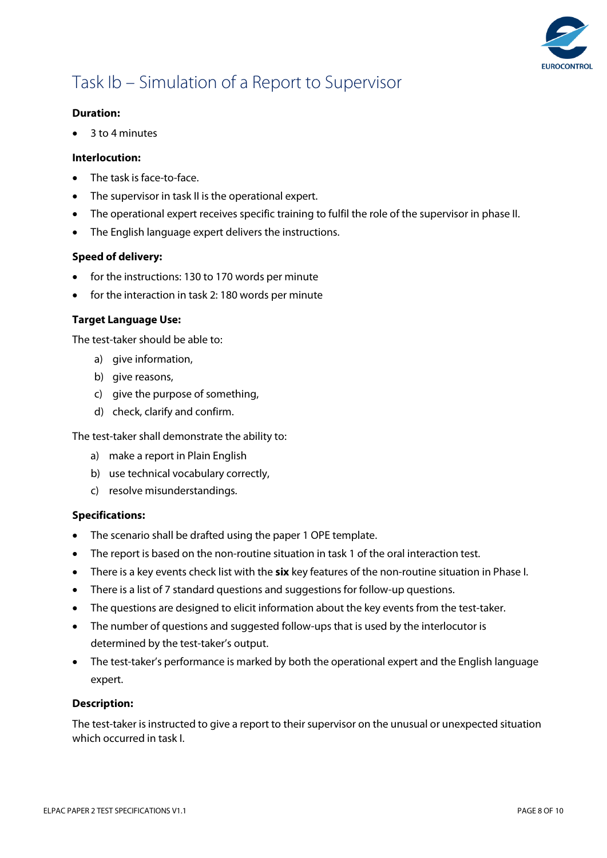

### Task Ib – Simulation of a Report to Supervisor

#### **Duration:**

• 3 to 4 minutes

#### **Interlocution:**

- The task is face-to-face.
- The supervisor in task II is the operational expert.
- The operational expert receives specific training to fulfil the role of the supervisor in phase II.
- The English language expert delivers the instructions.

#### **Speed of delivery:**

- for the instructions: 130 to 170 words per minute
- for the interaction in task 2: 180 words per minute

#### **Target Language Use:**

The test-taker should be able to:

- a) give information,
- b) give reasons,
- c) give the purpose of something,
- d) check, clarify and confirm.

The test-taker shall demonstrate the ability to:

- a) make a report in Plain English
- b) use technical vocabulary correctly,
- c) resolve misunderstandings.

#### **Specifications:**

- The scenario shall be drafted using the paper 1 OPE template.
- The report is based on the non-routine situation in task 1 of the oral interaction test.
- There is a key events check list with the **six** key features of the non-routine situation in Phase I.
- There is a list of 7 standard questions and suggestions for follow-up questions.
- The questions are designed to elicit information about the key events from the test-taker.
- The number of questions and suggested follow-ups that is used by the interlocutor is determined by the test-taker's output.
- The test-taker's performance is marked by both the operational expert and the English language expert.

#### **Description:**

The test-taker is instructed to give a report to their supervisor on the unusual or unexpected situation which occurred in task I.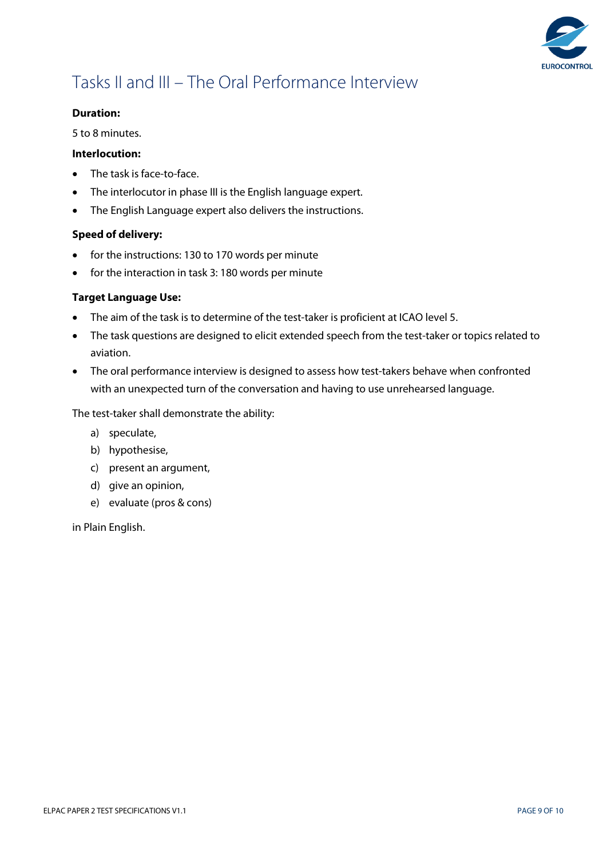

### Tasks II and III – The Oral Performance Interview

#### **Duration:**

5 to 8 minutes.

#### **Interlocution:**

- The task is face-to-face.
- The interlocutor in phase III is the English language expert.
- The English Language expert also delivers the instructions.

#### **Speed of delivery:**

- for the instructions: 130 to 170 words per minute
- for the interaction in task 3: 180 words per minute

#### **Target Language Use:**

- The aim of the task is to determine of the test-taker is proficient at ICAO level 5.
- The task questions are designed to elicit extended speech from the test-taker or topics related to aviation.
- The oral performance interview is designed to assess how test-takers behave when confronted with an unexpected turn of the conversation and having to use unrehearsed language.

The test-taker shall demonstrate the ability:

- a) speculate,
- b) hypothesise,
- c) present an argument,
- d) give an opinion,
- e) evaluate (pros & cons)

in Plain English.